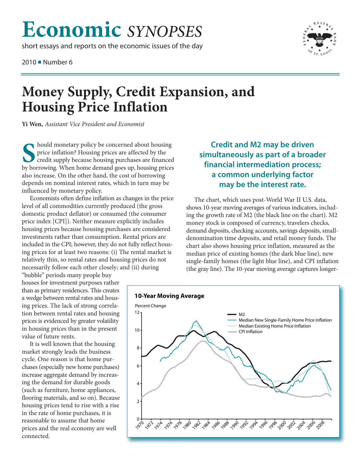## **Economic** *SYNOPSES*

short essays and reports on the economic issues of the day

2010 ■ Number 6



## **Money Supply, Credit Expansion, and Housing Price Inflation**

**Yi Wen,** *Assistant Vice President and Economist*

**S** hould monetary policy be concerned about housing<br>
price inflation? Housing prices are affected by the<br>
credit supply because housing purchases are financed<br>
by borrowing. When home demand goes up, housing prices hould monetary policy be concerned about housing price inflation? Housing prices are affected by the credit supply because housing purchases are financed also increase. On the other hand, the cost of borrowing depends on nominal interest rates, which in turn may be influenced by monetary policy.

Economists often define inflation as changes in the price level of all commodities currently produced (the gross domestic product deflator) or consumed (the consumer price index [CPI]). Neither measure explicitly includes housing prices because housing purchases are considered investments rather than consumption. Rental prices are included in the CPI; however, they do not fully reflect housing prices for at least two reasons: (i) The rental market is relatively thin, so rental rates and housing prices do not necessarily follow each other closely; and (ii) during

"bubble" periods many people buy houses for investment purposes rather than as primary residences. This creates a wedge between rental rates and housing prices. The lack of strong correlation between rental rates and housing prices is evidenced by greater volatility in housing prices than in the present value of future rents.

It is well known that the housing market strongly leads the business cycle. One reason is that home purchases (especially new home purchases) increase aggregate demand by increasing the demand for durable goods (such as furniture, home appliances, flooring materials, and so on). Because housing prices tend to rise with a rise in the rate of home purchases, it is reasonable to assume that home prices and the real economy are well connected.

## **Credit and M2 may be driven simultaneously as part of a broader financial intermediation process; a common underlying factor may be the interest rate.**

The chart, which uses post-World War II U.S. data, shows 10-year moving averages of various indicators, including the growth rate of M2 (the black line on the chart). M2 money stock is composed of currency, travelers checks, demand deposits, checking accounts, savings deposits, smalldenomination time deposits, and retail money funds. The chart also shows housing price inflation, measured as the median price of existing homes (the dark blue line), new single-family homes (the light blue line), and CPI inflation (the gray line). The 10-year moving average captures longer-